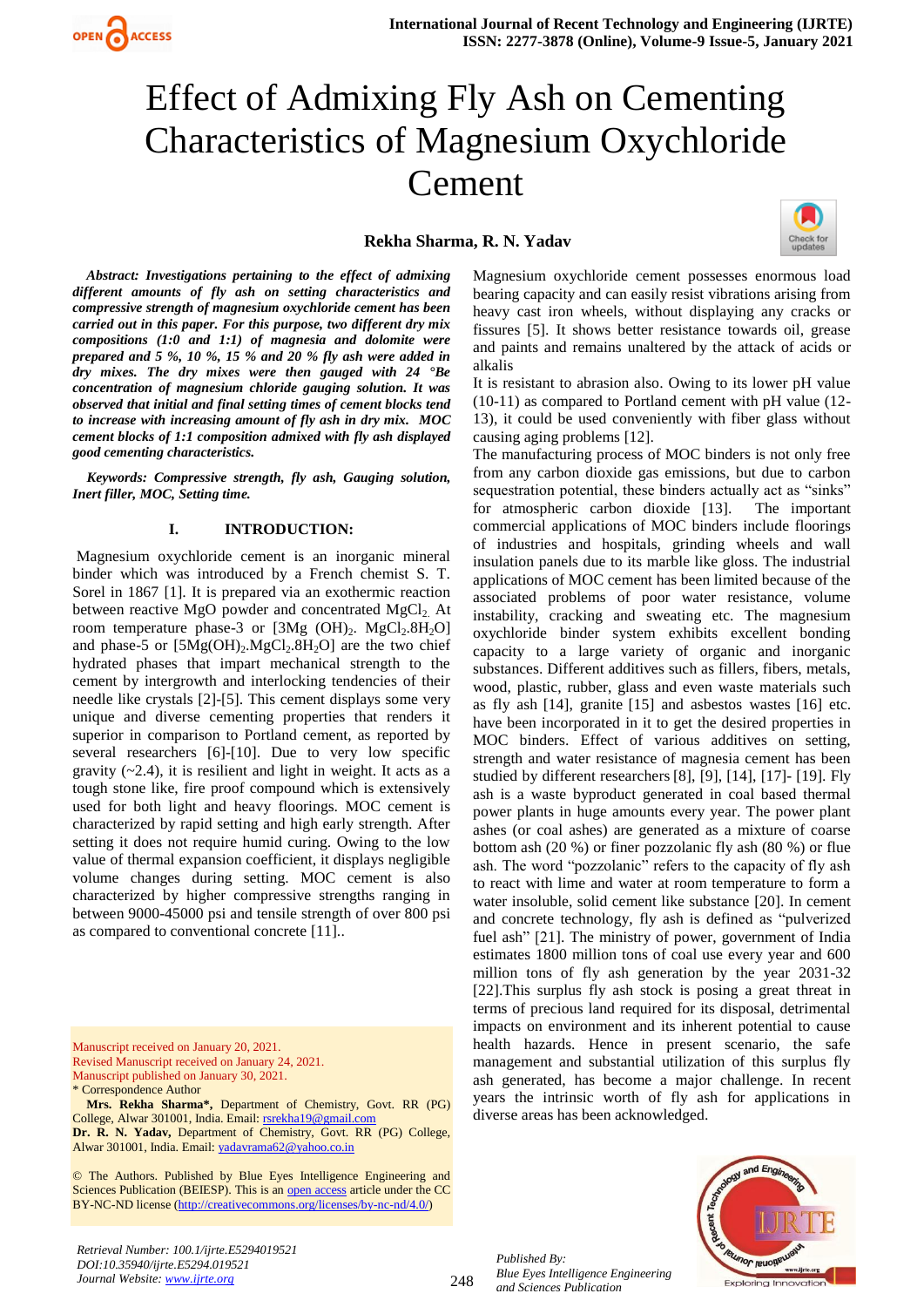# Effect of Admixing Fly Ash on Cementing Characteristics of Magnesium Oxychloride Cement

## **Rekha Sharma, R. N. Yadav**



*Abstract: Investigations pertaining to the effect of admixing different amounts of fly ash on setting characteristics and compressive strength of magnesium oxychloride cement has been carried out in this paper. For this purpose, two different dry mix compositions (1:0 and 1:1) of magnesia and dolomite were prepared and 5 %, 10 %, 15 % and 20 % fly ash were added in dry mixes. The dry mixes were then gauged with 24 °Be concentration of magnesium chloride gauging solution. It was observed that initial and final setting times of cement blocks tend to increase with increasing amount of fly ash in dry mix. MOC cement blocks of 1:1 composition admixed with fly ash displayed good cementing characteristics.* 

 *Keywords: Compressive strength, fly ash, Gauging solution, Inert filler, MOC, Setting time.*

#### **I. INTRODUCTION:**

Magnesium oxychloride cement is an inorganic mineral binder which was introduced by a French chemist S. T. Sorel in 1867 [1]. It is prepared via an exothermic reaction between reactive MgO powder and concentrated  $MgCl<sub>2</sub>$ . At room temperature phase-3 or  $[3Mg (OH)<sub>2</sub> MgCl<sub>2</sub>.8H<sub>2</sub>O]$ and phase-5 or  $[5Mg(OH)_2.MgCl_2.8H_2O]$  are the two chief hydrated phases that impart mechanical strength to the cement by intergrowth and interlocking tendencies of their needle like crystals [2]-[5]. This cement displays some very unique and diverse cementing properties that renders it superior in comparison to Portland cement, as reported by several researchers [6]-[10]. Due to very low specific gravity  $(-2.4)$ , it is resilient and light in weight. It acts as a tough stone like, fire proof compound which is extensively used for both light and heavy floorings. MOC cement is characterized by rapid setting and high early strength. After setting it does not require humid curing. Owing to the low value of thermal expansion coefficient, it displays negligible volume changes during setting. MOC cement is also characterized by higher compressive strengths ranging in between 9000-45000 psi and tensile strength of over 800 psi as compared to conventional concrete [11]..

Manuscript received on January 20, 2021. Revised Manuscript received on January 24, 2021. Manuscript published on January 30, 2021. \* Correspondence Author

**Mrs. Rekha Sharma\*,** Department of Chemistry, Govt. RR (PG) College, Alwar 301001, India. Email[: rsrekha19@gmail.com](mailto:rsrekha19@gmail.com) **Dr. R. N. Yadav,** Department of Chemistry, Govt. RR (PG) College,

Alwar 301001, India. Email[: yadavrama62@yahoo.co.in](mailto:yadavrama62@yahoo.co.in)

© The Authors. Published by Blue Eyes Intelligence Engineering and Sciences Publication (BEIESP). This is an [open access](https://www.openaccess.nl/en/open-publications) article under the CC BY-NC-ND license [\(http://creativecommons.org/licenses/by-nc-nd/4.0/\)](http://creativecommons.org/licenses/by-nc-nd/4.0/)

Magnesium oxychloride cement possesses enormous load bearing capacity and can easily resist vibrations arising from heavy cast iron wheels, without displaying any cracks or fissures [5]. It shows better resistance towards oil, grease and paints and remains unaltered by the attack of acids or alkalis

It is resistant to abrasion also. Owing to its lower pH value (10-11) as compared to Portland cement with pH value (12- 13), it could be used conveniently with fiber glass without causing aging problems [12].

The manufacturing process of MOC binders is not only free from any carbon dioxide gas emissions, but due to carbon sequestration potential, these binders actually act as "sinks" for atmospheric carbon dioxide [13]. The important commercial applications of MOC binders include floorings of industries and hospitals, grinding wheels and wall insulation panels due to its marble like gloss. The industrial applications of MOC cement has been limited because of the associated problems of poor water resistance, volume instability, cracking and sweating etc. The magnesium oxychloride binder system exhibits excellent bonding capacity to a large variety of organic and inorganic substances. Different additives such as fillers, fibers, metals, wood, plastic, rubber, glass and even waste materials such as fly ash [14], granite [15] and asbestos wastes [16] etc. have been incorporated in it to get the desired properties in MOC binders. Effect of various additives on setting, strength and water resistance of magnesia cement has been studied by different researchers [8], [9], [14], [17]- [19]. Fly ash is a waste byproduct generated in coal based thermal power plants in huge amounts every year. The power plant ashes (or coal ashes) are generated as a mixture of coarse bottom ash (20 %) or finer pozzolanic fly ash (80 %) or flue ash. The word "pozzolanic" refers to the capacity of fly ash to react with lime and water at room temperature to form a water insoluble, solid cement like substance [20]. In cement and concrete technology, fly ash is defined as "pulverized fuel ash" [21]. The ministry of power, government of India estimates 1800 million tons of coal use every year and 600 million tons of fly ash generation by the year 2031-32 [22].This surplus fly ash stock is posing a great threat in terms of precious land required for its disposal, detrimental impacts on environment and its inherent potential to cause health hazards. Hence in present scenario, the safe management and substantial utilization of this surplus fly ash generated, has become a major challenge. In recent years the intrinsic worth of fly ash for applications in diverse areas has been acknowledged.



*Published By: Blue Eyes Intelligence Engineering and Sciences Publication* 

248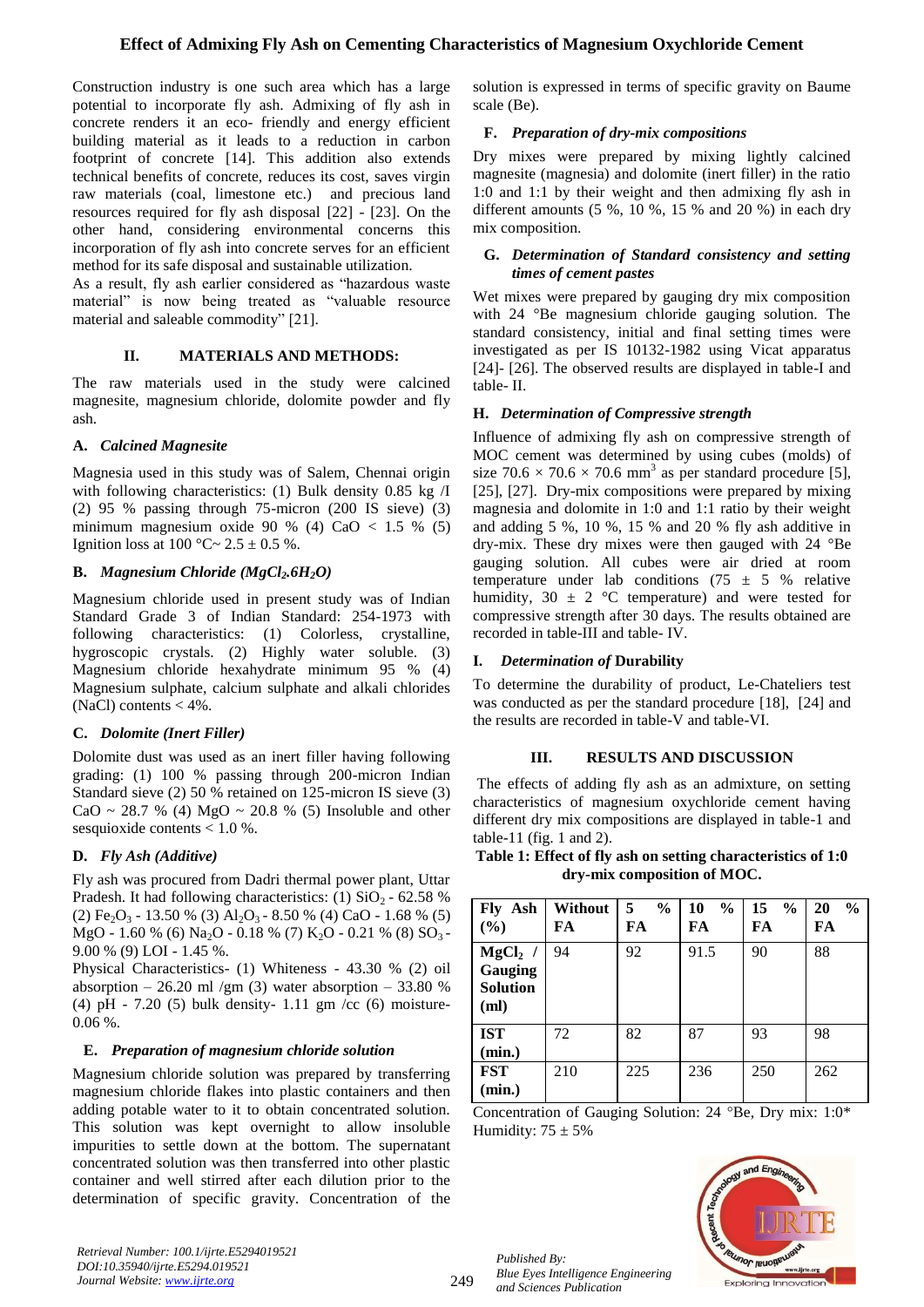Construction industry is one such area which has a large potential to incorporate fly ash. Admixing of fly ash in concrete renders it an eco- friendly and energy efficient building material as it leads to a reduction in carbon footprint of concrete [14]. This addition also extends technical benefits of concrete, reduces its cost, saves virgin raw materials (coal, limestone etc.) and precious land resources required for fly ash disposal [22] - [23]. On the other hand, considering environmental concerns this incorporation of fly ash into concrete serves for an efficient method for its safe disposal and sustainable utilization.

As a result, fly ash earlier considered as "hazardous waste material" is now being treated as "valuable resource material and saleable commodity" [21].

# **II. MATERIALS AND METHODS:**

The raw materials used in the study were calcined magnesite, magnesium chloride, dolomite powder and fly ash.

# **A.** *Calcined Magnesite*

Magnesia used in this study was of Salem, Chennai origin with following characteristics: (1) Bulk density 0.85 kg /I (2) 95 % passing through 75-micron (200 IS sieve) (3) minimum magnesium oxide 90 % (4) CaO  $< 1.5$  % (5) Ignition loss at  $100^{\circ}$ C ~  $2.5 \pm 0.5$  %.

# **B.** *Magnesium Chloride (MgCl2.6H2O)*

Magnesium chloride used in present study was of Indian Standard Grade 3 of Indian Standard: 254-1973 with following characteristics: (1) Colorless, crystalline, hygroscopic crystals. (2) Highly water soluble. (3) Magnesium chloride hexahydrate minimum 95 % (4) Magnesium sulphate, calcium sulphate and alkali chlorides (NaCl) contents  $<$  4%.

# **C.** *Dolomite (Inert Filler)*

Dolomite dust was used as an inert filler having following grading: (1) 100 % passing through 200-micron Indian Standard sieve (2) 50 % retained on 125-micron IS sieve (3)  $CaO \sim 28.7 \%$  (4) MgO ~ 20.8 % (5) Insoluble and other sesquioxide contents < 1.0 %.

# **D.** *Fly Ash (Additive)*

Fly ash was procured from Dadri thermal power plant, Uttar Pradesh. It had following characteristics: (1)  $SiO<sub>2</sub> - 62.58$  % (2)  $Fe<sub>2</sub>O<sub>3</sub> - 13.50 %$  (3)  $Al<sub>2</sub>O<sub>3</sub> - 8.50 %$  (4) CaO - 1.68 % (5) MgO - 1.60 % (6) Na<sub>2</sub>O - 0.18 % (7) K<sub>2</sub>O - 0.21 % (8) SO<sub>3</sub> -9.00 % (9) LOI - 1.45 %.

Physical Characteristics- (1) Whiteness - 43.30 % (2) oil absorption – 26.20 ml /gm (3) water absorption – 33.80 % (4) pH - 7.20 (5) bulk density- 1.11 gm /cc (6) moisture-0.06 %.

#### **E.** *Preparation of magnesium chloride solution*

Magnesium chloride solution was prepared by transferring magnesium chloride flakes into plastic containers and then adding potable water to it to obtain concentrated solution. This solution was kept overnight to allow insoluble impurities to settle down at the bottom. The supernatant concentrated solution was then transferred into other plastic container and well stirred after each dilution prior to the determination of specific gravity. Concentration of the

*Retrieval Number: 100.1/ijrte.E5294019521 DOI:10.35940/ijrte.E5294.019521 Journal Website: www.ijrte.org*

solution is expressed in terms of specific gravity on Baume scale (Be).

## **F.** *Preparation of dry-mix compositions*

Dry mixes were prepared by mixing lightly calcined magnesite (magnesia) and dolomite (inert filler) in the ratio 1:0 and 1:1 by their weight and then admixing fly ash in different amounts  $(5 \%, 10 \%, 15 \% \text{ and } 20 \%)$  in each dry mix composition.

## **G.** *Determination of Standard consistency and setting times of cement pastes*

Wet mixes were prepared by gauging dry mix composition with 24 °Be magnesium chloride gauging solution. The standard consistency, initial and final setting times were investigated as per IS 10132-1982 using Vicat apparatus [24]- [26]. The observed results are displayed in table-I and table- II.

## **H.** *Determination of Compressive strength*

Influence of admixing fly ash on compressive strength of MOC cement was determined by using cubes (molds) of size  $70.6 \times 70.6 \times 70.6$  mm<sup>3</sup> as per standard procedure [5], [25], [27]. Dry-mix compositions were prepared by mixing magnesia and dolomite in 1:0 and 1:1 ratio by their weight and adding 5 %, 10 %, 15 % and 20 % fly ash additive in dry-mix. These dry mixes were then gauged with 24 °Be gauging solution. All cubes were air dried at room temperature under lab conditions (75  $\pm$  5 % relative humidity,  $30 \pm 2$  °C temperature) and were tested for compressive strength after 30 days. The results obtained are recorded in table-III and table- IV.

# **I.** *Determination of* **Durability**

To determine the durability of product, Le-Chateliers test was conducted as per the standard procedure [18], [24] and the results are recorded in table-V and table-VI.

#### **III. RESULTS AND DISCUSSION**

The effects of adding fly ash as an admixture, on setting characteristics of magnesium oxychloride cement having different dry mix compositions are displayed in table-1 and table-11 (fig. 1 and 2).

**Table 1: Effect of fly ash on setting characteristics of 1:0 dry-mix composition of MOC.**

| Ash<br>Fly<br>(%)                               | <b>Without</b><br>FA | 5<br>$\frac{0}{0}$<br>FA | <b>10</b><br>$\frac{0}{0}$<br>FA | 15<br>$\frac{0}{0}$<br>FA | 20<br>$\frac{6}{9}$<br>FA |
|-------------------------------------------------|----------------------|--------------------------|----------------------------------|---------------------------|---------------------------|
| $MgCl2$ /<br>Gauging<br><b>Solution</b><br>(ml) | 94                   | 92                       | 91.5                             | 90                        | 88                        |
| <b>IST</b><br>(min.)                            | 72                   | 82                       | 87                               | 93                        | 98                        |
| <b>FST</b><br>(min.)                            | 210                  | 225                      | 236                              | 250                       | 262                       |

Concentration of Gauging Solution: 24 <sup>o</sup>Be, Dry mix: 1:0<sup>\*</sup> Humidity:  $75 \pm 5\%$ 

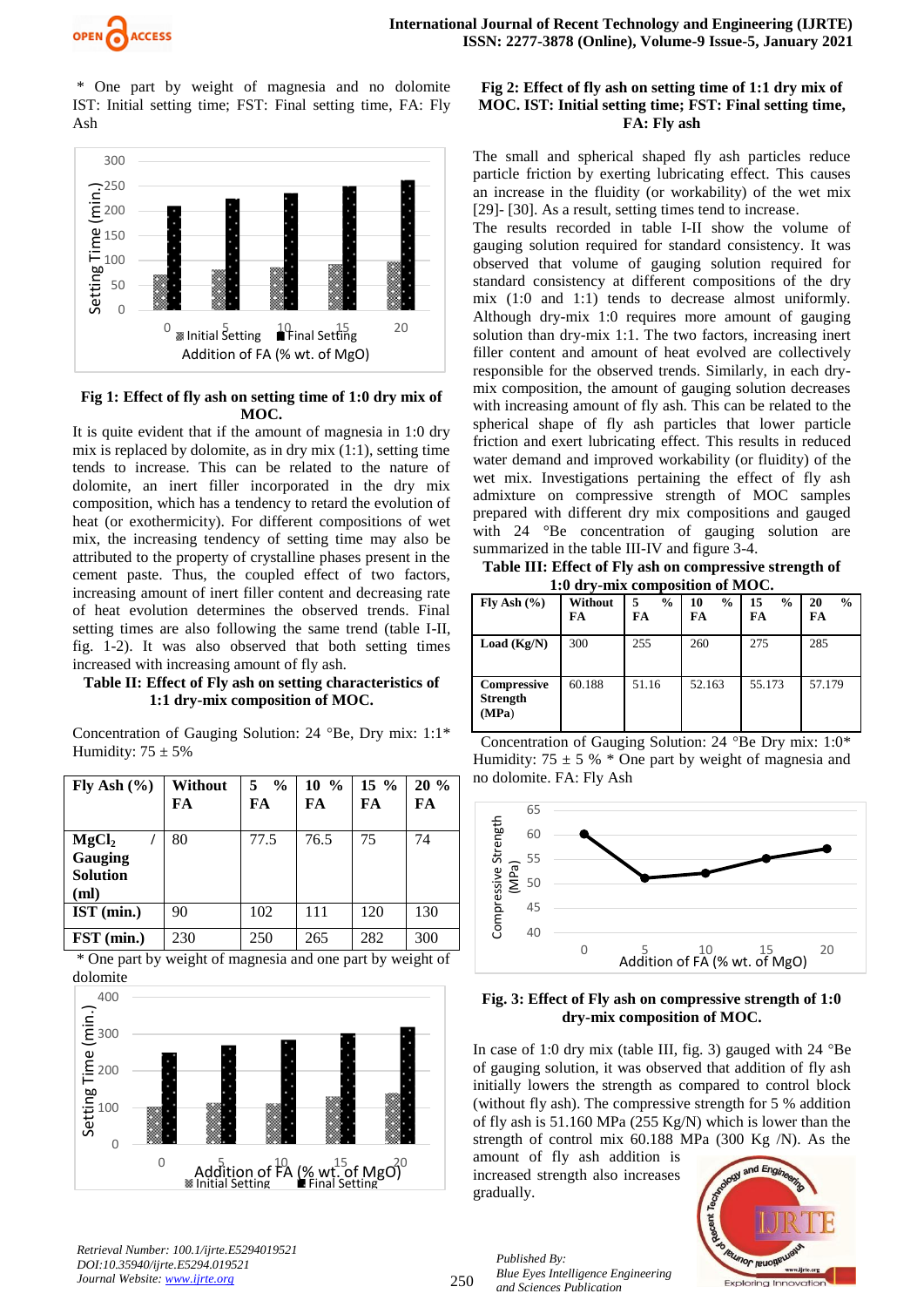

\* One part by weight of magnesia and no dolomite IST: Initial setting time; FST: Final setting time, FA: Fly Ash



# **Fig 1: Effect of fly ash on setting time of 1:0 dry mix of MOC.**

It is quite evident that if the amount of magnesia in 1:0 dry mix is replaced by dolomite, as in dry mix (1:1), setting time tends to increase. This can be related to the nature of dolomite, an inert filler incorporated in the dry mix composition, which has a tendency to retard the evolution of heat (or exothermicity). For different compositions of wet mix, the increasing tendency of setting time may also be attributed to the property of crystalline phases present in the cement paste. Thus, the coupled effect of two factors, increasing amount of inert filler content and decreasing rate of heat evolution determines the observed trends. Final setting times are also following the same trend (table I-II, fig. 1-2). It was also observed that both setting times increased with increasing amount of fly ash.

#### **Table II: Effect of Fly ash on setting characteristics of 1:1 dry-mix composition of MOC.**

| Fly Ash $(\% )$                                         | <b>Without</b><br>FA | $5 \frac{9}{6}$<br>FA | $10 \frac{9}{6}$<br>FA | 15 %<br>FA | 20%<br>FA |
|---------------------------------------------------------|----------------------|-----------------------|------------------------|------------|-----------|
| MgCl <sub>2</sub><br>Gauging<br><b>Solution</b><br>(ml) | 80                   | 77.5                  | 76.5                   | 75         | 74        |
| IST (min.)                                              | 90                   | 102                   | 111                    | 120        | 130       |
| FST (min.)                                              | 230                  | 250                   | 265                    | 282        | 300       |

Concentration of Gauging Solution: 24 °Be, Dry mix: 1:1\* Humidity:  $75 \pm 5\%$ 

\* One part by weight of magnesia and one part by weight of dolomite



*Retrieval Number: 100.1/ijrte.E5294019521 DOI:10.35940/ijrte.E5294.019521 Journal Website: www.ijrte.org*

## **Fig 2: Effect of fly ash on setting time of 1:1 dry mix of MOC. IST: Initial setting time; FST: Final setting time, FA: Fly ash**

The small and spherical shaped fly ash particles reduce particle friction by exerting lubricating effect. This causes an increase in the fluidity (or workability) of the wet mix [29]- [30]. As a result, setting times tend to increase.

The results recorded in table I-II show the volume of gauging solution required for standard consistency. It was observed that volume of gauging solution required for standard consistency at different compositions of the dry mix (1:0 and 1:1) tends to decrease almost uniformly. Although dry-mix 1:0 requires more amount of gauging solution than dry-mix 1:1. The two factors, increasing inert filler content and amount of heat evolved are collectively responsible for the observed trends. Similarly, in each drymix composition, the amount of gauging solution decreases with increasing amount of fly ash. This can be related to the spherical shape of fly ash particles that lower particle friction and exert lubricating effect. This results in reduced water demand and improved workability (or fluidity) of the wet mix. Investigations pertaining the effect of fly ash admixture on compressive strength of MOC samples prepared with different dry mix compositions and gauged with 24 °Be concentration of gauging solution are summarized in the table III-IV and figure 3-4.

**Table III: Effect of Fly ash on compressive strength of 1:0 dry-mix composition of MOC.**

|                                                | 1.0 ш у-ння сонірозной от ілібе. |                     |                           |                           |                           |
|------------------------------------------------|----------------------------------|---------------------|---------------------------|---------------------------|---------------------------|
| Fly Ash $(\% )$                                | Without<br>FA                    | $\frac{6}{9}$<br>FA | $\frac{6}{9}$<br>10<br>FA | $\frac{6}{9}$<br>15<br>FA | $\frac{6}{9}$<br>20<br>FA |
| Load $(Kg/N)$                                  | 300                              | 255                 | 260                       | 275                       | 285                       |
| <b>Compressive</b><br><b>Strength</b><br>(MPa) | 60.188                           | 51.16               | 52.163                    | 55.173                    | 57.179                    |

Concentration of Gauging Solution:  $24^\circ$ Be Dry mix: 1:0\* Humidity:  $75 \pm 5$  %  $*$  One part by weight of magnesia and no dolomite. FA: Fly Ash



## **Fig. 3: Effect of Fly ash on compressive strength of 1:0 dry-mix composition of MOC.**

In case of 1:0 dry mix (table III, fig. 3) gauged with 24 °Be of gauging solution, it was observed that addition of fly ash initially lowers the strength as compared to control block (without fly ash). The compressive strength for 5 % addition of fly ash is 51.160 MPa (255 Kg/N) which is lower than the strength of control mix 60.188 MPa (300 Kg /N). As the

amount of fly ash addition is increased strength also increases gradually.

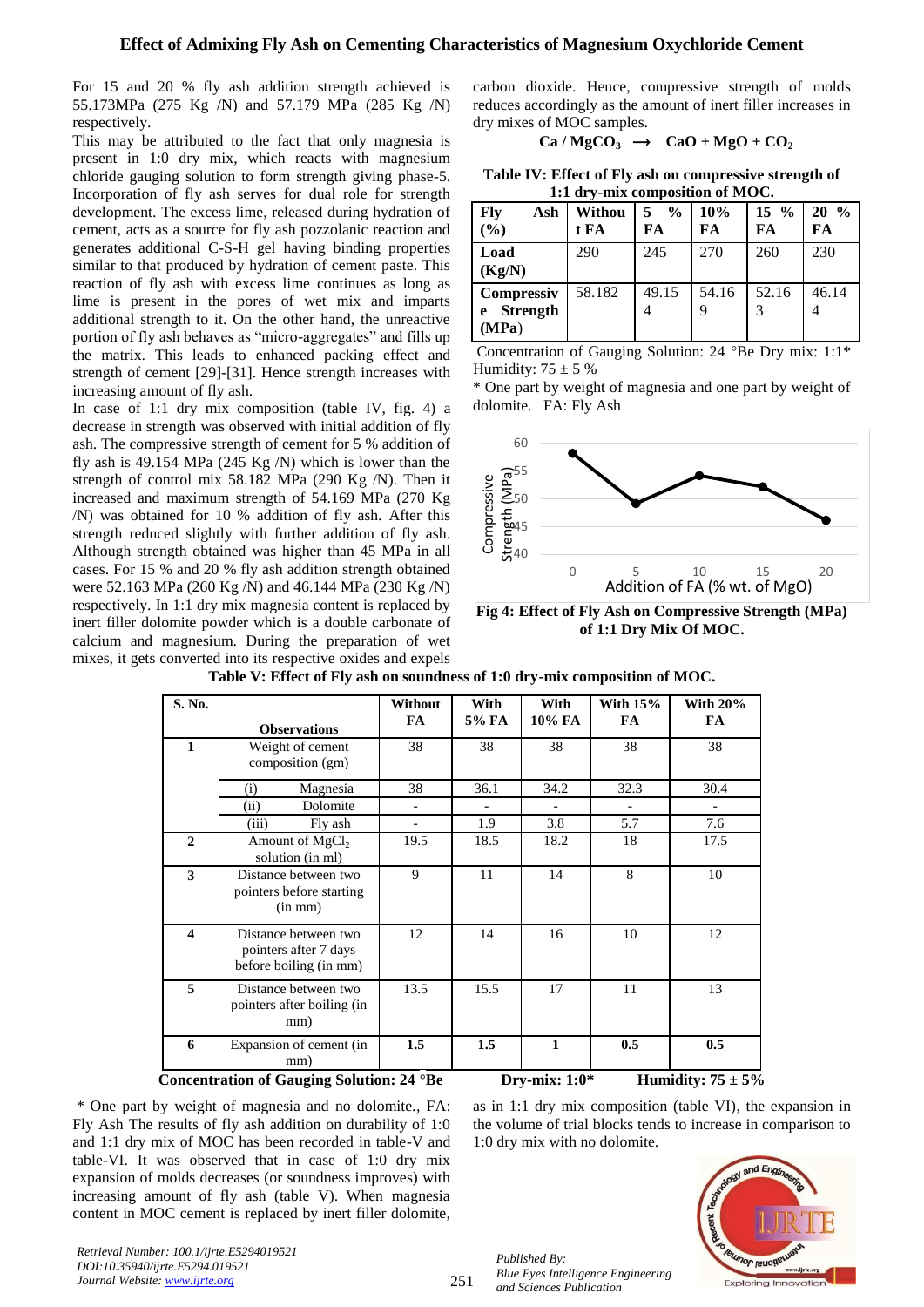For 15 and 20 % fly ash addition strength achieved is 55.173MPa (275 Kg /N) and 57.179 MPa (285 Kg /N) respectively.

This may be attributed to the fact that only magnesia is present in 1:0 dry mix, which reacts with magnesium chloride gauging solution to form strength giving phase-5. Incorporation of fly ash serves for dual role for strength development. The excess lime, released during hydration of cement, acts as a source for fly ash pozzolanic reaction and generates additional C-S-H gel having binding properties similar to that produced by hydration of cement paste. This reaction of fly ash with excess lime continues as long as lime is present in the pores of wet mix and imparts additional strength to it. On the other hand, the unreactive portion of fly ash behaves as "micro-aggregates" and fills up the matrix. This leads to enhanced packing effect and strength of cement [29]-[31]. Hence strength increases with increasing amount of fly ash.

In case of 1:1 dry mix composition (table IV, fig. 4) a decrease in strength was observed with initial addition of fly ash. The compressive strength of cement for 5 % addition of fly ash is 49.154 MPa (245 Kg  $/N$ ) which is lower than the strength of control mix 58.182 MPa (290 Kg /N). Then it increased and maximum strength of 54.169 MPa (270 Kg /N) was obtained for 10 % addition of fly ash. After this strength reduced slightly with further addition of fly ash. Although strength obtained was higher than 45 MPa in all cases. For 15 % and 20 % fly ash addition strength obtained were 52.163 MPa (260 Kg /N) and 46.144 MPa (230 Kg /N) respectively. In 1:1 dry mix magnesia content is replaced by inert filler dolomite powder which is a double carbonate of calcium and magnesium. During the preparation of wet mixes, it gets converted into its respective oxides and expels

carbon dioxide. Hence, compressive strength of molds reduces accordingly as the amount of inert filler increases in dry mixes of MOC samples.

$$
Ca/MgCO3 \rightarrow CaO + MgO + CO2
$$

**Table IV: Effect of Fly ash on compressive strength of 1:1 dry-mix composition of MOC.**

| Fly<br>Ash<br>(%)                                  | Withou<br>t FA | $\frac{0}{0}$<br>FA | 10%<br>FA | $15 \frac{9}{6}$<br>FA | $20\%$<br>FA |
|----------------------------------------------------|----------------|---------------------|-----------|------------------------|--------------|
| Load<br>(Kg/N)                                     | 290            | 245                 | 270       | 260                    | 230          |
| <b>Compressiv</b><br><b>Strength</b><br>e<br>(MPa) | 58.182         | 49.15               | 54.16     | 52.16                  | 46.14        |

Concentration of Gauging Solution:  $24^{\circ}$ Be Dry mix: 1:1\* Humidity:  $75 \pm 5 \%$ 

\* One part by weight of magnesia and one part by weight of dolomite. FA: Fly Ash



**Fig 4: Effect of Fly Ash on Compressive Strength (MPa) of 1:1 Dry Mix Of MOC.**

| S. No.                  | <b>Observations</b>                                                     | Without<br>FA. | With<br>5% FA | With<br>10% FA  | With $15%$<br>FA | <b>With 20%</b><br>FA  |  |
|-------------------------|-------------------------------------------------------------------------|----------------|---------------|-----------------|------------------|------------------------|--|
| 1                       | Weight of cement<br>composition (gm)                                    | 38             | 38            | 38              | 38               | 38                     |  |
|                         | Magnesia<br>(i)                                                         | 38             | 36.1          | 34.2            | 32.3             | 30.4                   |  |
|                         | Dolomite<br>(ii)                                                        |                |               |                 |                  |                        |  |
|                         | (iii)<br>Fly ash                                                        |                | 1.9           | 3.8             | 5.7              | 7.6                    |  |
| $\mathbf{2}$            | Amount of MgCl <sub>2</sub><br>solution (in ml)                         | 19.5           | 18.5          | 18.2            | 18               | 17.5                   |  |
| 3                       | Distance between two<br>pointers before starting<br>(in mm)             | 9              | 11            | 14              | 8                | 10                     |  |
| $\overline{\mathbf{4}}$ | Distance between two<br>pointers after 7 days<br>before boiling (in mm) | 12             | 14            | 16              | 10               | 12                     |  |
| 5                       | Distance between two<br>pointers after boiling (in<br>mm)               | 13.5           | 15.5          | 17              | 11               | 13                     |  |
| 6                       | Expansion of cement (in<br>mm)                                          | 1.5            | 1.5           | 1               | 0.5              | 0.5                    |  |
|                         | Concentration of Gauging Solution: 24 °Be                               |                |               | Dry-mix: $1:0*$ |                  | Humidity: $75 \pm 5\%$ |  |

**Table V: Effect of Fly ash on soundness of 1:0 dry-mix composition of MOC.**

\* One part by weight of magnesia and no dolomite., FA: Fly Ash The results of fly ash addition on durability of 1:0 and 1:1 dry mix of MOC has been recorded in table-V and table-VI. It was observed that in case of 1:0 dry mix expansion of molds decreases (or soundness improves) with increasing amount of fly ash (table V). When magnesia content in MOC cement is replaced by inert filler dolomite,

as in 1:1 dry mix composition (table VI), the expansion in the volume of trial blocks tends to increase in comparison to 1:0 dry mix with no dolomite.



*Retrieval Number: 100.1/ijrte.E5294019521 DOI:10.35940/ijrte.E5294.019521 Journal Website: www.ijrte.org*

251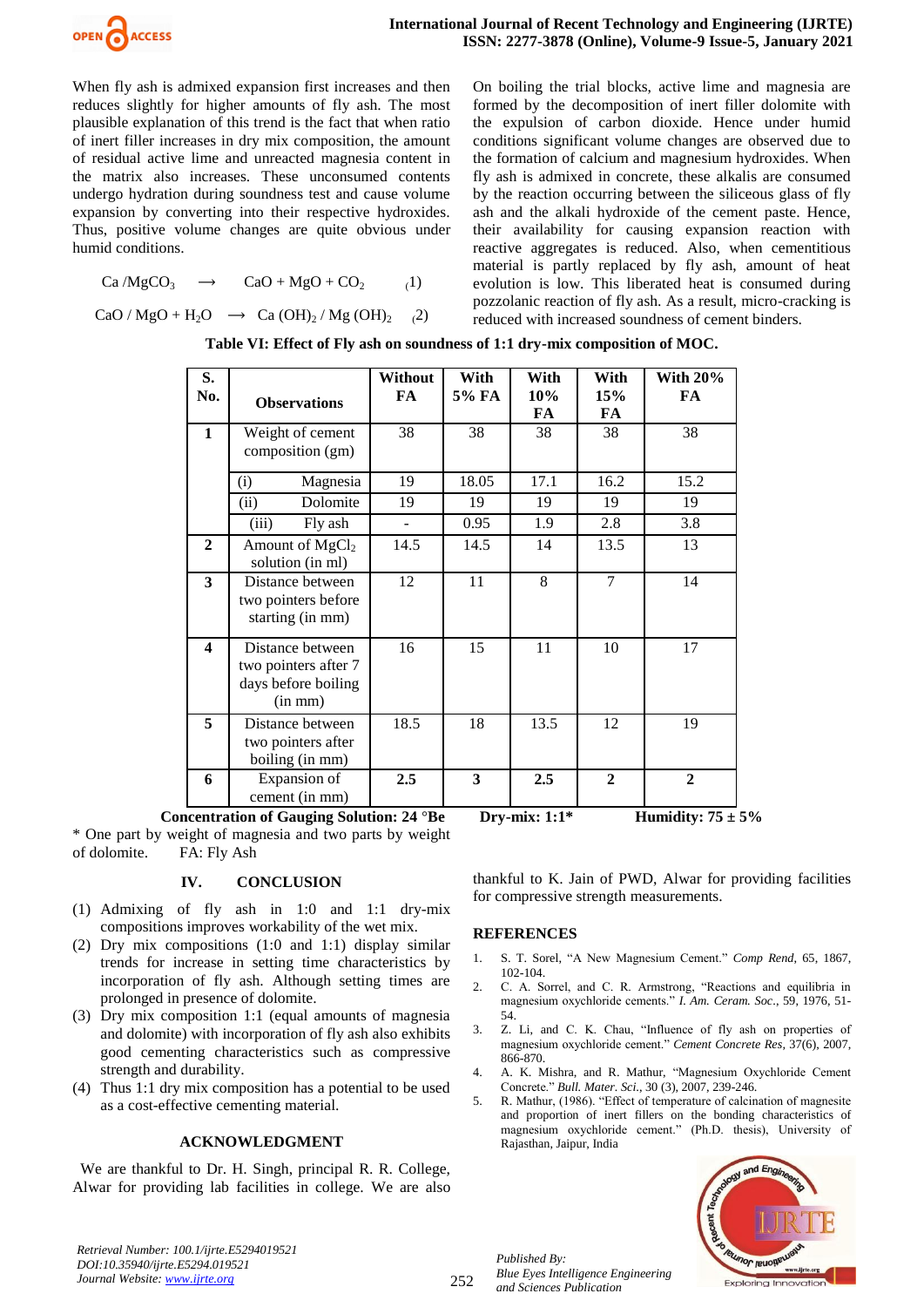

When fly ash is admixed expansion first increases and then reduces slightly for higher amounts of fly ash. The most plausible explanation of this trend is the fact that when ratio of inert filler increases in dry mix composition, the amount of residual active lime and unreacted magnesia content in the matrix also increases. These unconsumed contents undergo hydration during soundness test and cause volume expansion by converting into their respective hydroxides. Thus, positive volume changes are quite obvious under humid conditions.

$$
Ca/MgCO3 \rightarrow CaO + MgO + CO2 (1)
$$

 $CaO/MgO + H<sub>2</sub>O \rightarrow Ca(OH)<sub>2</sub>/Mg(OH)<sub>2</sub>$  (2)

On boiling the trial blocks, active lime and magnesia are formed by the decomposition of inert filler dolomite with the expulsion of carbon dioxide. Hence under humid conditions significant volume changes are observed due to the formation of calcium and magnesium hydroxides. When fly ash is admixed in concrete, these alkalis are consumed by the reaction occurring between the siliceous glass of fly ash and the alkali hydroxide of the cement paste. Hence, their availability for causing expansion reaction with reactive aggregates is reduced. Also, when cementitious material is partly replaced by fly ash, amount of heat evolution is low. This liberated heat is consumed during pozzolanic reaction of fly ash. As a result, micro-cracking is reduced with increased soundness of cement binders.

| S.<br>No.               | <b>Observations</b>                                                             | Without<br>FA | With<br>5% FA | With<br>10%<br>FA | With<br>15%<br>FA | With $20\%$<br>FA |
|-------------------------|---------------------------------------------------------------------------------|---------------|---------------|-------------------|-------------------|-------------------|
| $\mathbf{1}$            | Weight of cement<br>composition (gm)                                            | 38            | 38            | 38                | 38                | 38                |
|                         | Magnesia<br>(i)                                                                 | 19            | 18.05         | 17.1              | 16.2              | 15.2              |
|                         | Dolomite<br>(ii)                                                                | 19            | 19            | 19                | 19                | 19                |
|                         | (iii)<br>Fly ash                                                                | -             | 0.95          | 1.9               | 2.8               | 3.8               |
| $\mathbf{2}$            | Amount of $MgCl2$<br>solution (in ml)                                           | 14.5          | 14.5          | 14                | 13.5              | 13                |
| 3                       | Distance between<br>two pointers before<br>starting (in mm)                     | 12            | 11            | 8                 | $\tau$            | 14                |
| $\overline{\mathbf{4}}$ | Distance between<br>two pointers after 7<br>days before boiling<br>$(in \, mm)$ | 16            | 15            | 11                | 10                | 17                |
| 5                       | Distance between<br>two pointers after<br>boiling (in mm)                       | 18.5          | 18            | 13.5              | 12                | 19                |
| 6                       | Expansion of<br>cement (in mm)                                                  | 2.5           | 3             | 2.5               | $\overline{2}$    | $\overline{2}$    |

\* One part by weight of magnesia and two parts by weight of dolomite. FA: Fly Ash

# **IV. CONCLUSION**

- (1) Admixing of fly ash in 1:0 and 1:1 dry-mix compositions improves workability of the wet mix.
- (2) Dry mix compositions (1:0 and 1:1) display similar trends for increase in setting time characteristics by incorporation of fly ash. Although setting times are prolonged in presence of dolomite.
- (3) Dry mix composition 1:1 (equal amounts of magnesia and dolomite) with incorporation of fly ash also exhibits good cementing characteristics such as compressive strength and durability.
- (4) Thus 1:1 dry mix composition has a potential to be used as a cost-effective cementing material.

#### **ACKNOWLEDGMENT**

 We are thankful to Dr. H. Singh, principal R. R. College, Alwar for providing lab facilities in college. We are also

thankful to K. Jain of PWD, Alwar for providing facilities for compressive strength measurements.

#### **REFERENCES**

- 1. S. T. Sorel, "A New Magnesium Cement." *Comp Rend*, 65, 1867, 102-104.
- 2. C. A. Sorrel, and C. R. Armstrong, "Reactions and equilibria in magnesium oxychloride cements." *I. Am. Ceram. Soc*., 59, 1976, 51- 54.
- 3. Z. Li, and C. K. Chau, "Influence of fly ash on properties of magnesium oxychloride cement." *Cement Concrete Res,* 37(6), 2007, 866-870.
- 4. A. K. Mishra, and R. Mathur, "Magnesium Oxychloride Cement Concrete." *Bull. Mater. Sci*., 30 (3), 2007, 239-246.
- 5. R. Mathur, (1986). "Effect of temperature of calcination of magnesite and proportion of inert fillers on the bonding characteristics of magnesium oxychloride cement." (Ph.D. thesis), University of Rajasthan, Jaipur, India



252